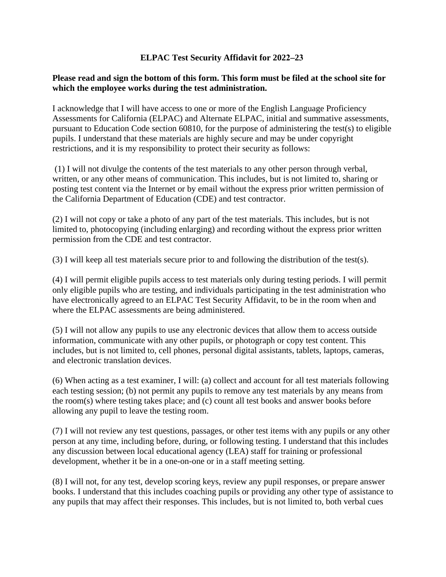## **ELPAC Test Security Affidavit for 2022–23**

## **Please read and sign the bottom of this form. This form must be filed at the school site for which the employee works during the test administration.**

I acknowledge that I will have access to one or more of the English Language Proficiency Assessments for California (ELPAC) and Alternate ELPAC, initial and summative assessments, pursuant to Education Code section 60810, for the purpose of administering the test(s) to eligible pupils. I understand that these materials are highly secure and may be under copyright restrictions, and it is my responsibility to protect their security as follows:

 written, or any other means of communication. This includes, but is not limited to, sharing or (1) I will not divulge the contents of the test materials to any other person through verbal, posting test content via the Internet or by email without the express prior written permission of the California Department of Education (CDE) and test contractor.

 (2) I will not copy or take a photo of any part of the test materials. This includes, but is not limited to, photocopying (including enlarging) and recording without the express prior written permission from the CDE and test contractor.

(3) I will keep all test materials secure prior to and following the distribution of the test(s).

(4) I will permit eligible pupils access to test materials only during testing periods. I will permit only eligible pupils who are testing, and individuals participating in the test administration who have electronically agreed to an ELPAC Test Security Affidavit, to be in the room when and where the ELPAC assessments are being administered.

(5) I will not allow any pupils to use any electronic devices that allow them to access outside information, communicate with any other pupils, or photograph or copy test content. This includes, but is not limited to, cell phones, personal digital assistants, tablets, laptops, cameras, and electronic translation devices.

 (6) When acting as a test examiner, I will: (a) collect and account for all test materials following each testing session; (b) not permit any pupils to remove any test materials by any means from the room(s) where testing takes place; and (c) count all test books and answer books before allowing any pupil to leave the testing room.

 (7) I will not review any test questions, passages, or other test items with any pupils or any other development, whether it be in a one-on-one or in a staff meeting setting. person at any time, including before, during, or following testing. I understand that this includes any discussion between local educational agency (LEA) staff for training or professional

(8) I will not, for any test, develop scoring keys, review any pupil responses, or prepare answer books. I understand that this includes coaching pupils or providing any other type of assistance to any pupils that may affect their responses. This includes, but is not limited to, both verbal cues